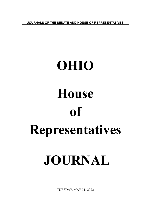**JOURNALS OF THE SENATE AND HOUSE OF REPRESENTATIVES**

# **OHIO House of Representatives JOURNAL**

TUESDAY, MAY 31, 2022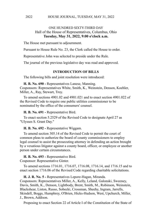# ONE HUNDRED SIXTY-THIRD DAY Hall of the House of Representatives, Columbus, Ohio **Tuesday, May 31, 2022, 9:00 o'clock a.m.**

The House met pursuant to adjournment.

Pursuant to House Rule No. 23, the Clerk called the House to order.

Representative John was selected to preside under the Rule.

The journal of the previous legislative day was read and approved.

# **INTRODUCTION OF BILLS**

The following bills and joint resolution were introduced:

**H. B. No. 690 -** Representatives Lanese, Manning. Cosponsors: Representatives White, Smith, K., Weinstein, Denson, Koehler, Miller, A., Ray, Stewart, Troy.

To amend sections 4901.02 and 4901.021 and to enact section 4901.022 of the Revised Code to require one public utilities commissioner to be nominated by the office of the consumers' counsel.

**H. B. No. 691 -** Representative Bird.

To enact section 5.2529 of the Revised Code to designate April 27 as "Ulysses S. Grant Day."

**H. B. No. 692 -** Representative Wiggam.

To amend section 305.14 of the Revised Code to permit the court of common pleas to authorize the board of county commissioners to employ legal counsel to assist the prosecuting attorney in defending an action brought by a vexatious litigator against a county board, officer, or employee or another person under certain circumstances.

**H. B. No. 693 -** Representative Bird.

Cosponsor: Representative Ginter.

To amend sections 1716.01, 1716.07, 1716.08, 1716.14, and 1716.15 and to enact section 1716.06 of the Revised Code regarding charitable solicitations.

**H. J. R. No. 5 -** Representatives Lepore-Hagan, Miranda.

Cosponsors: Representatives Miller, A., Kelly, Leland, Galonski, Sweeney, Davis, Smith, K., Denson, Lightbody, Brent, Smith, M., Robinson, Weinstein, Blackshear, Liston, Russo, Sobecki, Crossman, Sheehy, Ingram, Jarrells, Skindell, Boggs, Humphrey, O'Brien, Hicks-Hudson, West, Upchurch, Miller, J., Brown, Addison.

Proposing to enact Section 22 of Article I of the Constitution of the State of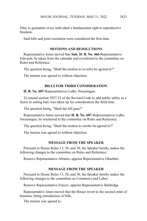Ohio to guarantee every individual a fundamental right to reproductive freedom.

Said bills and joint resolution were considered the first time.

# **MOTIONS AND RESOLUTIONS**

Representative Jones moved that **Sub. H. B. No. 466**-Representative Edwards, be taken from the calendar and re-referred to the committee on Rules and Reference.

The question being, "Shall the motion to re-refer be agreed to?"

The motion was agreed to without objection.

## **BILLS FOR THIRD CONSIDERATION**

**H. B. No. 607-**Representatives LaRe, Swearingen.

To amend section 2937.23 of the Revised Code to add public safety as a factor in setting bail, was taken up for consideration the third time.

The question being, "Shall the bill pass?"

Representative Jones moved that **H. B. No. 607**-Representatives LaRe, Swearingen, be rereferred to the committee on Rules and Reference.

The question being, "Shall the motion to rerefer be agreed to?"

The motion was agreed to without objection.

## **MESSAGE FROM THE SPEAKER**

Pursuant to House Rules 13, 28, and 30, the Speaker hereby makes the following changes to the committee on Rules and Reference:

Remove Representative Abrams; appoint Representative Ghanbari.

## **MESSAGE FROM THE SPEAKER**

Pursuant to House Rules 13, 28, and 30, the Speaker hereby makes the following changes to the committee on Commerce and Labor:

Remove Representative Fraizer; appoint Representative Baldridge.

Representative Jones moved that the House revert to the second order of business, being introduction of bills.

The motion was agreed to.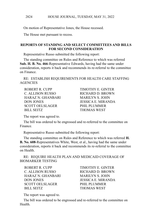On motion of Representative Jones, the House recessed.

The House met pursuant to recess.

## **REPORTS OF STANDING AND SELECT COMMITTEES AND BILLS FOR SECOND CONSIDERATION**

Representative Russo submitted the following report:

The standing committee on Rules and Reference to which was referred **Sub. H. B. No. 466**-Representative Edwards, having had the same under consideration, reports it back and recommends its re-referral to the committee on Finance.

RE: ESTABLISH REQUIREMENTS FOR HEALTH CARE STAFFING **AGENCIES** 

ROBERT R. CUPP TIMOTHY E. GINTER C. ALLISON RUSSO RICHARD D. BROWN HARAZ N. GHANBARI MARILYN S. JOHN DON JONES JESSICA E. MIRANDA SCOTT OELSLAGER PHIL PLUMMER BILL SEITZ THOMAS WEST

The report was agreed to.

The bill was ordered to be engrossed and re-referred to the committee on Finance.

Representative Russo submitted the following report:

The standing committee on Rules and Reference to which was referred **H. B. No. 608**-Representatives White, West, et al., having had the same under consideration, reports it back and recommends its re-referral to the committee on Health.

RE: REQUIRE HEALTH PLAN AND MEDICAID COVERAGE OF BIOMARKER TESTING

ROBERT R. CUPP TIMOTHY E. GINTER C. ALLISON RUSSO RICHARD D. BROWN HARAZ N. GHANBARI MARILYN S. JOHN DON JONES JESSICA E. MIRANDA SCOTT OELSLAGER PHIL PLUMMER BILL SEITZ THOMAS WEST

The report was agreed to.

The bill was ordered to be engrossed and re-referred to the committee on Health.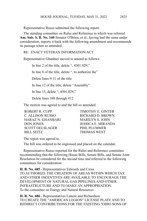Representative Russo submitted the following report:

The standing committee on Rules and Reference to which was referred **Am. Sub. S. B. No. 160**-Senator O'Brien, et al., having had the same under consideration, reports it back with the following amendment and recommends its passage when so amended.

RE: ENACT VETERAN INFORMATION ACT

Representative Ghanbari moved to amend as follows:

In line 2 of the title, delete ", 4501.029,"

In line 8 of the title, delete ", to authorize the"

Delete lines 9-11 of the title

In line 12 of the title, delete "Assembly"

In line 15, delete ", 4501.029,"

Delete lines 388 through 412

The motion was agreed to and the bill so amended.

ROBERT R. CUPP TIMOTHY E. GINTER C. ALLISON RUSSO RICHARD D. BROWN HARAZ N. GHANBARI MARILYN S. JOHN DON JONES JESSICA E. MIRANDA SCOTT OELSLAGER
PHIL PLUMMER BILL SEITZ THOMAS WEST

The report was agreed to.

The bill was ordered to be engrossed and placed on the calendar.

Representative Russo reported for the Rules and Reference committee recommending that the following House Bills, Senate Bills, and Senate Joint Resolution be considered for the second time and referred to the following committees for consideration:

**H. B. No. 685** - Representatives Edwards and Cross TO AUTHORIZE THE CREATION OF AREAS WITHIN WHICH TAX AND OTHER INCENTIVES ARE AVAILABLE TO ENCOURAGE THE DEVELOPMENT OF NATURAL GAS PIPELINES AND OTHER INFRASTRUCTURE AND TO MAKE AN APPROPRIATION. To the committee on Energy and Natural Resources

**H. B. No. 686** - Representatives Lanese and Richardson TO CREATE THE "AMERICAN LEGION" LICENSE PLATE AND TO REDIRECT CONTRIBUTIONS FOR THE EXISTING "OHIO SONS OF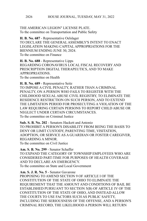THE AMERICAN LEGION" LICENSE PLATE. To the committee on Transportation and Public Safety

**H. B. No. 687** - Representative Oelslager TO DECLARE THE GENERAL ASSEMBLY'S INTENT TO ENACT LEGISLATION MAKING CAPITAL APPROPRIATIONS FOR THE BIENNIUM ENDING JUNE 30, 2024. To the committee on Finance

**H. B. No. 688** - Representative Lipps REGARDING CORONAVIRUS LOCAL FISCAL RECOVERY AND PRESCRIPTION DIGITAL THERAPEUTICS, AND TO MAKE APPROPRIATIONS. To the committee on Health

**H. B. No. 689** - Representative Seitz TO IMPOSE A CIVIL PENALTY, RATHER THAN A CRIMINAL PENALTY, ON A PERSON WHO FAILS TO REGISTER WITH THE CHILDHOOD SEXUAL ABUSE CIVIL REGISTRY, TO ELIMINATE THE RESIDENCE RESTRICTION ON SUCH PERSON, AND TO EXTEND THE LIMITATION PERIOD FOR PROSECUTING A VIOLATION OF THE LAW REQUIRING CERTAIN PERSONS TO REPORT CHILD ABUSE OR NEGLECT UNDER CERTAIN CIRCUMSTANCES. To the committee on Criminal Justice

**Sub. S. B. No. 202** - Senators Hackett and Antonio TO PROHIBIT A PERSON'S DISABILITY FROM BEING THE BASIS TO DENY OR LIMIT CUSTODY, PARENTING TIME, VISITATION, ADOPTION, OR SERVICE AS A GUARDIAN OR FOSTER CAREGIVER, REGARDING A MINOR. To the committee on Civil Justice

**Am. S. B. No. 299** - Senator Schaffer TO EXPAND THE CATEGORY OF TOWNSHIP EMPLOYEES WHO ARE CONSIDERED PART-TIME FOR PURPOSES OF HEALTH COVERAGE AND TO DECLARE AN EMERGENCY. To the committee on State and Local Government

**Am. S. J. R. No. 5** - Senator Gavarone PROPOSING TO AMEND SECTION 9 OF ARTICLE I OF THE CONSTITUTION OF THE STATE OF OHIO TO ELIMINATE THE REQUIREMENT THAT THE AMOUNT AND CONDITIONS OF BAIL BE ESTABLISHED PURSUANT TO SECTION 5(B) OF ARTICLE IV OF THE CONSTITUTION OF THE STATE OF OHIO, AND INSTEAD ALLOW THE COURTS TO USE FACTORS SUCH AS PUBLIC SAFETY, INCLUDING THE SERIOUSNESS OF THE OFFENSE, AND A PERSON'S CRIMINAL RECORD, THE LIKELIHOOD A PERSON WILL RETURN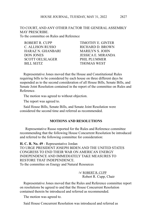TO COURT, AND ANY OTHER FACTOR THE GENERAL ASSEMBLY MAY PRESCRIBE. To the committee on Rules and Reference

| <b>TIMOTHY E. GINTER</b> |
|--------------------------|
| RICHARD D. BROWN         |
| <b>MARILYN S. JOHN</b>   |
| JESSICA E. MIRANDA       |
| PHIL PLUMMER             |
| <b>THOMAS WEST</b>       |
|                          |

Representative Jones moved that the House and Constitutional Rules requiring bills to be considered by each house on three different days be suspended as to the second consideration of all House Bills, Senate Bills, and Senate Joint Resolution contained in the report of the committee on Rules and Reference.

The motion was agreed to without objection.

The report was agreed to.

Said House Bills, Senate Bills, and Senate Joint Resolution were considered the second time and referred as recommended.

#### **MOTIONS AND RESOLUTIONS**

 Representative Russo reported for the Rules and Reference committee recommending that the following House Concurrent Resolution be introduced and referred to the following committee for consideration:

**H. C. R. No. 49** - Representative Jordan

TO URGE PRESIDENT JOSEPH BIDEN AND THE UNITED STATES CONGRESS TO END THEIR WAR ON AMERICAN ENERGY INDEPENDENCE AND IMMEDIATELY TAKE MEASURES TO RESTORE THAT INDEPENDENCE. To the committee on Energy and Natural Resources

> /s/ ROBERT R. CUPP Robert R. Cupp, Chair

Representative Jones moved that the Rules and Reference committee report on resolutions be agreed to and that the House Concurrent Resolution contained therein be introduced and referred as recommended.

The motion was agreed to.

Said House Concurrent Resolution was introduced and referred as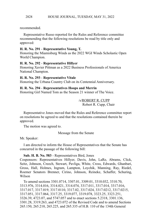### recommended.

Representative Russo reported for the Rules and Reference committee recommending that the following resolutions be read by title only and approved:

## **H. R. No. 291** - **Representative Young, T.**

Honoring the Miamisburg Winds as the 2022 WGI Winds Scholastic Open World Champion.

## **H. R. No. 292** - **Representative Hillyer**

Honoring Xavier Pittman as a 2022 Business Professionals of America National Champion.

## **H. R. No. 293** - **Representative Vitale**

Honoring the Urbana Country Club on its Centennial Anniversary.

# **H. R. No. 294** - **Representatives Hoops and Merrin**

Honoring Girl Named Tom as the Season 21 winner of The Voice.

/s/ROBERT R. CUPP Robert R. Cupp, Chair

Representative Jones moved that the Rules and Reference committee report on resolutions be agreed to and that the resolutions contained therein be approved.

The motion was agreed to.

Message from the Senate

Mr. Speaker:

I am directed to inform the House of Representatives that the Senate has concurred in the passage of the following bill:

## **Sub. H. B. No. 583** - Representatives Bird, Jones

Cosponsors: Representatives Hillyer, Davis, John, LaRe, Abrams, Click, Seitz, Johnson, Creech, Stewart, Pavliga, White, Cross, Edwards, Ghanbari, Gross, Hall, Holmes, Ingram, Lampton, Loychik, Manning, Ray, Riedel, Roemer Senators Brenner, Cirino, Johnson, Reineke, Schaffer, Schuring, Wilson

To amend sections 3301.0714, 3307.01, 3309.01, 3310.032, 3310.70, 3313.976, 3314.016, 3314.021, 3314.074, 3317.011, 3317.014, 3317.016, 3317.017, 3317.019, 3317.0110, 3317.02, 3317.024, 3317.0212, 3317.0215, 3317.051, 3317.064, 3317.25, 3319.077, 3319.078, 3323.25, 3323.251, 3326.39, 4723.07, and 5747.057 and to enact sections 5.2318, 3301.136, 3301.28, 3319.263, and 4723.072 of the Revised Code and to amend Sections 265.150, 265.210, 265.225, and 265.335 of H.B. 110 of the 134th General